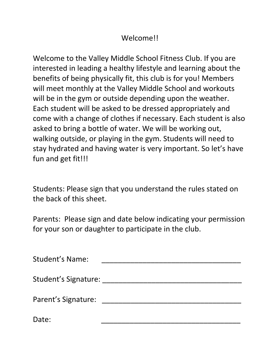## Welcome!!

Welcome to the Valley Middle School Fitness Club. If you are interested in leading a healthy lifestyle and learning about the benefits of being physically fit, this club is for you! Members will meet monthly at the Valley Middle School and workouts will be in the gym or outside depending upon the weather. Each student will be asked to be dressed appropriately and come with a change of clothes if necessary. Each student is also asked to bring a bottle of water. We will be working out, walking outside, or playing in the gym. Students will need to stay hydrated and having water is very important. So let's have fun and get fit!!!

Students: Please sign that you understand the rules stated on the back of this sheet.

Parents: Please sign and date below indicating your permission for your son or daughter to participate in the club.

| <b>Student's Name:</b>      |  |
|-----------------------------|--|
| <b>Student's Signature:</b> |  |
| Parent's Signature:         |  |
| Date:                       |  |